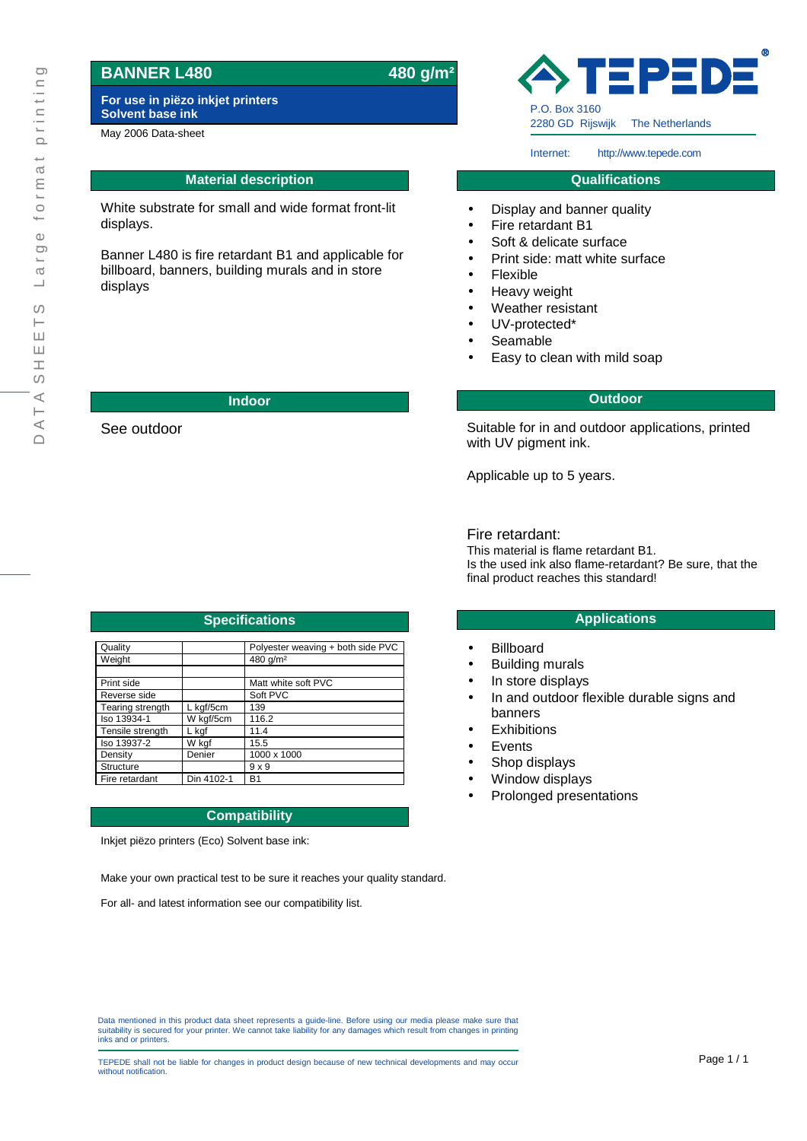## **BANNER L480 480 g/m²**

**For use in piëzo inkjet printers Solvent base ink**

May 2006 Data-sheet

### **Material description**

White substrate for small and wide format front-lit displays.

Banner L480 is fire retardant B1 and applicable for billboard, banners, building murals and in store displays

See outdoor

# EPE P.O. Box 3160 2280 GD Rijswijk The Netherlands

Internet: http://www.tepede.com

#### **Qualifications**

- Display and banner quality
- Fire retardant B1
- Soft & delicate surface
- Print side: matt white surface
- Flexible
- Heavy weight
- Weather resistant
- UV-protected\*
- Seamable
- Easy to clean with mild soap

#### **Indoor Outdoor**

Suitable for in and outdoor applications, printed with UV pigment ink.

Applicable up to 5 years.

#### Fire retardant:

This material is flame retardant B1. Is the used ink also flame-retardant? Be sure, that the final product reaches this standard!

- Billboard
- Building murals
- In store displays
- In and outdoor flexible durable signs and banners
- **Exhibitions**
- **Events**
- Shop displays
- Window displays
- Prolonged presentations

Quality **Polyester weaving + both side PVC** Weight **No. 1 Contract 1480** g/m<sup>2</sup> Print side **National Matt** white soft PVC Reverse side  $\qquad \qquad$  Soft PVC Tearing strength L kgf/5cm 139 Iso 13934-1 W kgf/5cm 116.2 Tensile strength L kgf 11.4 Iso 13937-2 W kgf 15.5 Density | Denier | 1000 x 1000 Structure | 9 x 9 Fire retardant Din 4102-1 B1 **Specifications Applications Applications** 

Inkjet piëzo printers (Eco) Solvent base ink:

Make your own practical test to be sure it reaches your quality standard.

For all- and latest information see our compatibility list.

Data mentioned in this product data sheet represents a guide-line. Before using our media please make sure that<br>suitability is secured for your printer. We cannot take liability for any damages which result from changes in

TEPEDE shall not be liable for changes in product design because of new technical developments and may occur **Page 1/1** without notification.

| Quality          |            | Polyester weaving + both side PVC |
|------------------|------------|-----------------------------------|
| Weight           |            | 480 g/m <sup>2</sup>              |
|                  |            |                                   |
| Print side       |            | Matt white soft PVC               |
| Reverse side     |            | Soft PVC                          |
| Tearing strength | L kgf/5cm  | 139                               |
| Iso 13934-1      | W kgf/5cm  | 116.2                             |
| Tensile strength | L kaf      | 11.4                              |
| Iso 13937-2      | W kgf      | 15.5                              |
| Density          | Denier     | 1000 x 1000                       |
| Structure        |            | $9 \times 9$                      |
| Fire retardant   | Din 4102-1 | <b>B1</b>                         |

# **Compatibility**